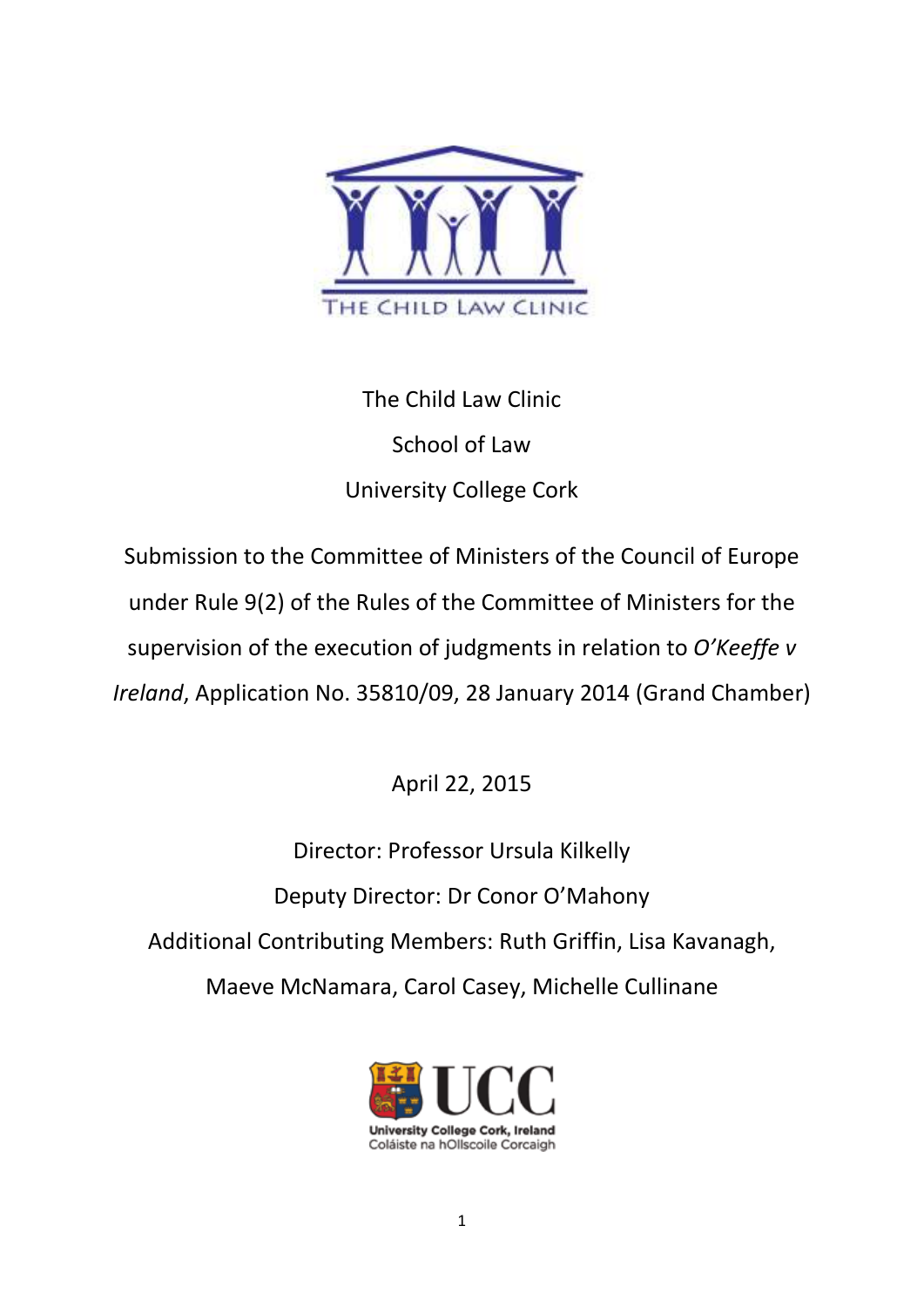

The Child Law Clinic School of Law University College Cork

Submission to the Committee of Ministers of the Council of Europe under Rule 9(2) of the Rules of the Committee of Ministers for the supervision of the execution of judgments in relation to *O'Keeffe v Ireland*, Application No. 35810/09, 28 January 2014 (Grand Chamber)

April 22, 2015

Director: Professor Ursula Kilkelly Deputy Director: Dr Conor O'Mahony Additional Contributing Members: Ruth Griffin, Lisa Kavanagh, Maeve McNamara, Carol Casey, Michelle Cullinane

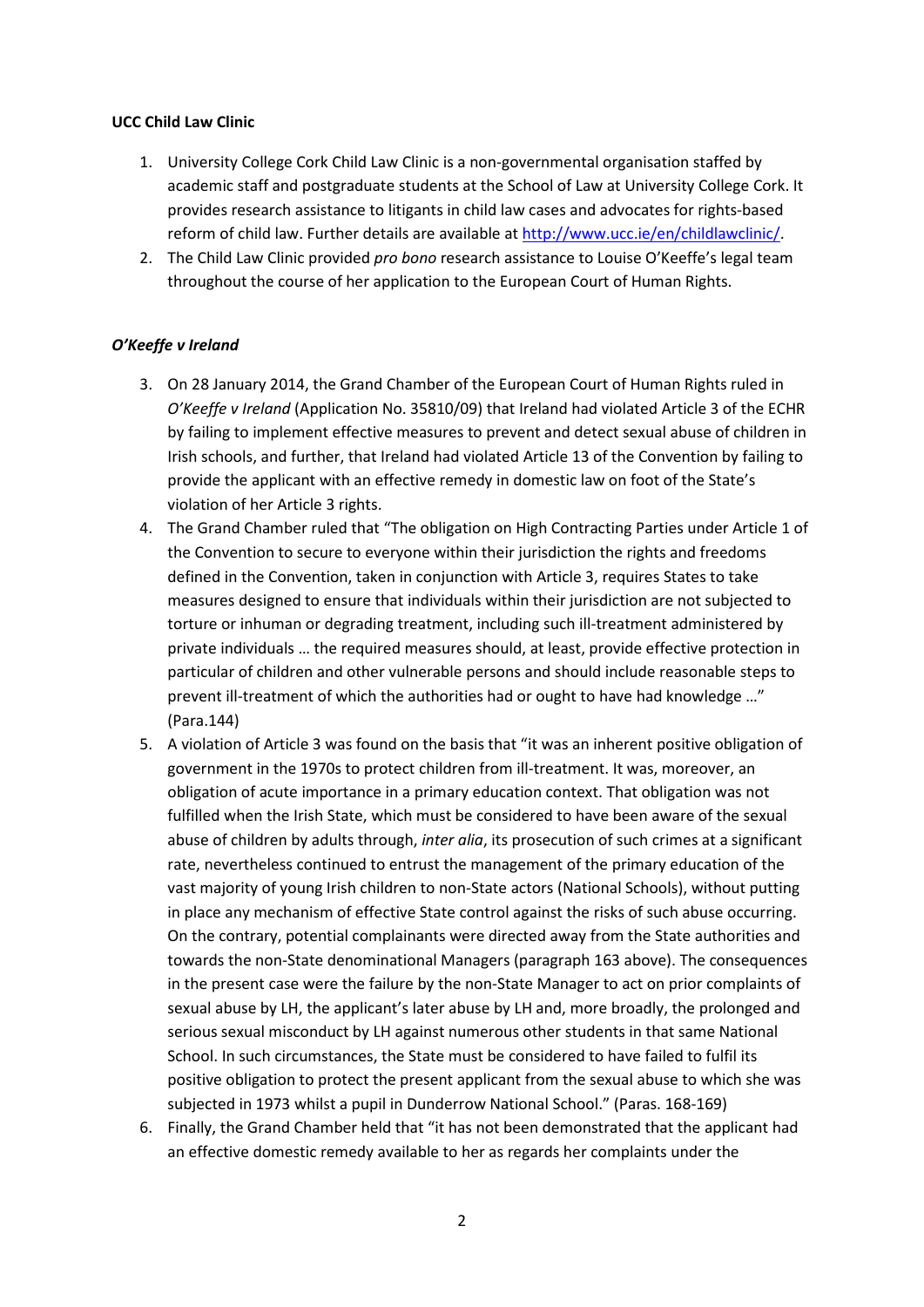### **UCC Child Law Clinic**

- 1. University College Cork Child Law Clinic is a non-governmental organisation staffed by academic staff and postgraduate students at the School of Law at University College Cork. It provides research assistance to litigants in child law cases and advocates for rights-based reform of child law. Further details are available at http://www.ucc.ie/en/childlawclinic/.
- 2. The Child Law Clinic provided *pro bono* research assistance to Louise O'Keeffe's legal team throughout the course of her application to the European Court of Human Rights.

## *O'Keeffe v Ireland*

- 3. On 28 January 2014, the Grand Chamber of the European Court of Human Rights ruled in *O'Keeffe v Ireland* (Application No. 35810/09) that Ireland had violated Article 3 of the ECHR by failing to implement effective measures to prevent and detect sexual abuse of children in Irish schools, and further, that Ireland had violated Article 13 of the Convention by failing to provide the applicant with an effective remedy in domestic law on foot of the State's violation of her Article 3 rights.
- 4. The Grand Chamber ruled that "The obligation on High Contracting Parties under Article 1 of the Convention to secure to everyone within their jurisdiction the rights and freedoms defined in the Convention, taken in conjunction with Article 3, requires States to take measures designed to ensure that individuals within their jurisdiction are not subjected to torture or inhuman or degrading treatment, including such ill-treatment administered by private individuals … the required measures should, at least, provide effective protection in particular of children and other vulnerable persons and should include reasonable steps to prevent ill-treatment of which the authorities had or ought to have had knowledge …" (Para.144)
- 5. A violation of Article 3 was found on the basis that "it was an inherent positive obligation of government in the 1970s to protect children from ill-treatment. It was, moreover, an obligation of acute importance in a primary education context. That obligation was not fulfilled when the Irish State, which must be considered to have been aware of the sexual abuse of children by adults through, *inter alia*, its prosecution of such crimes at a significant rate, nevertheless continued to entrust the management of the primary education of the vast majority of young Irish children to non-State actors (National Schools), without putting in place any mechanism of effective State control against the risks of such abuse occurring. On the contrary, potential complainants were directed away from the State authorities and towards the non-State denominational Managers (paragraph 163 above). The consequences in the present case were the failure by the non-State Manager to act on prior complaints of sexual abuse by LH, the applicant's later abuse by LH and, more broadly, the prolonged and serious sexual misconduct by LH against numerous other students in that same National School. In such circumstances, the State must be considered to have failed to fulfil its positive obligation to protect the present applicant from the sexual abuse to which she was subjected in 1973 whilst a pupil in Dunderrow National School." (Paras. 168-169)
- 6. Finally, the Grand Chamber held that "it has not been demonstrated that the applicant had an effective domestic remedy available to her as regards her complaints under the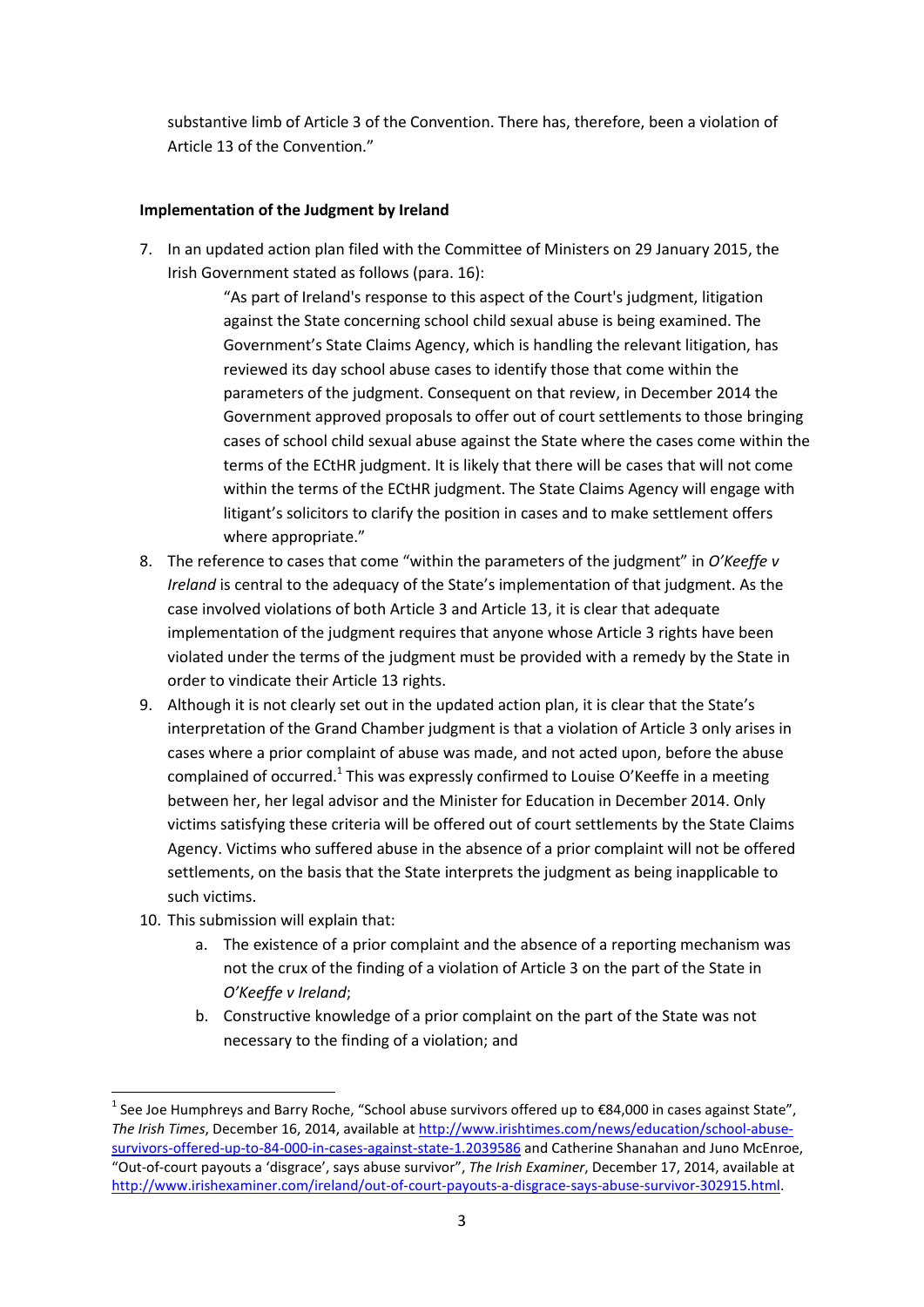substantive limb of Article 3 of the Convention. There has, therefore, been a violation of Article 13 of the Convention."

# **Implementation of the Judgment by Ireland**

7. In an updated action plan filed with the Committee of Ministers on 29 January 2015, the Irish Government stated as follows (para. 16):

> "As part of Ireland's response to this aspect of the Court's judgment, litigation against the State concerning school child sexual abuse is being examined. The Government's State Claims Agency, which is handling the relevant litigation, has reviewed its day school abuse cases to identify those that come within the parameters of the judgment. Consequent on that review, in December 2014 the Government approved proposals to offer out of court settlements to those bringing cases of school child sexual abuse against the State where the cases come within the terms of the ECtHR judgment. It is likely that there will be cases that will not come within the terms of the ECtHR judgment. The State Claims Agency will engage with litigant's solicitors to clarify the position in cases and to make settlement offers where appropriate."

- 8. The reference to cases that come "within the parameters of the judgment" in *O'Keeffe v Ireland* is central to the adequacy of the State's implementation of that judgment. As the case involved violations of both Article 3 and Article 13, it is clear that adequate implementation of the judgment requires that anyone whose Article 3 rights have been violated under the terms of the judgment must be provided with a remedy by the State in order to vindicate their Article 13 rights.
- 9. Although it is not clearly set out in the updated action plan, it is clear that the State's interpretation of the Grand Chamber judgment is that a violation of Article 3 only arises in cases where a prior complaint of abuse was made, and not acted upon, before the abuse complained of occurred.<sup>1</sup> This was expressly confirmed to Louise O'Keeffe in a meeting between her, her legal advisor and the Minister for Education in December 2014. Only victims satisfying these criteria will be offered out of court settlements by the State Claims Agency. Victims who suffered abuse in the absence of a prior complaint will not be offered settlements, on the basis that the State interprets the judgment as being inapplicable to such victims.
- 10. This submission will explain that:

<u>.</u>

- a. The existence of a prior complaint and the absence of a reporting mechanism was not the crux of the finding of a violation of Article 3 on the part of the State in *O'Keeffe v Ireland*;
- b. Constructive knowledge of a prior complaint on the part of the State was not necessary to the finding of a violation; and

<sup>&</sup>lt;sup>1</sup> See Joe Humphreys and Barry Roche, "School abuse survivors offered up to €84,000 in cases against State", *The Irish Times*, December 16, 2014, available at http://www.irishtimes.com/news/education/school-abusesurvivors-offered-up-to-84-000-in-cases-against-state-1.2039586 and Catherine Shanahan and Juno McEnroe, "Out-of-court payouts a 'disgrace', says abuse survivor", *The Irish Examiner*, December 17, 2014, available at http://www.irishexaminer.com/ireland/out-of-court-payouts-a-disgrace-says-abuse-survivor-302915.html.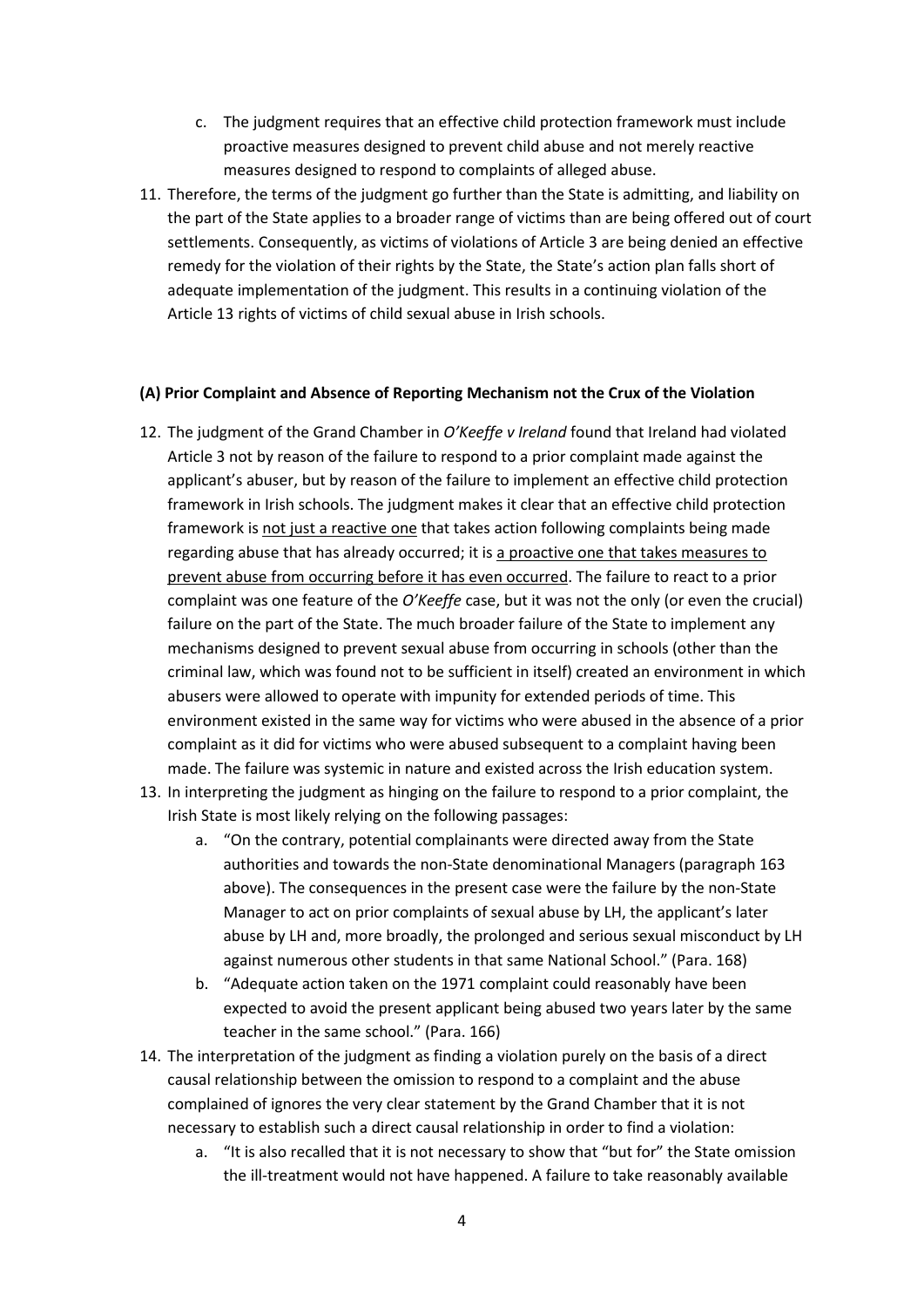- c. The judgment requires that an effective child protection framework must include proactive measures designed to prevent child abuse and not merely reactive measures designed to respond to complaints of alleged abuse.
- 11. Therefore, the terms of the judgment go further than the State is admitting, and liability on the part of the State applies to a broader range of victims than are being offered out of court settlements. Consequently, as victims of violations of Article 3 are being denied an effective remedy for the violation of their rights by the State, the State's action plan falls short of adequate implementation of the judgment. This results in a continuing violation of the Article 13 rights of victims of child sexual abuse in Irish schools.

#### **(A) Prior Complaint and Absence of Reporting Mechanism not the Crux of the Violation**

- 12. The judgment of the Grand Chamber in *O'Keeffe v Ireland* found that Ireland had violated Article 3 not by reason of the failure to respond to a prior complaint made against the applicant's abuser, but by reason of the failure to implement an effective child protection framework in Irish schools. The judgment makes it clear that an effective child protection framework is not just a reactive one that takes action following complaints being made regarding abuse that has already occurred; it is a proactive one that takes measures to prevent abuse from occurring before it has even occurred. The failure to react to a prior complaint was one feature of the *O'Keeffe* case, but it was not the only (or even the crucial) failure on the part of the State. The much broader failure of the State to implement any mechanisms designed to prevent sexual abuse from occurring in schools (other than the criminal law, which was found not to be sufficient in itself) created an environment in which abusers were allowed to operate with impunity for extended periods of time. This environment existed in the same way for victims who were abused in the absence of a prior complaint as it did for victims who were abused subsequent to a complaint having been made. The failure was systemic in nature and existed across the Irish education system.
- 13. In interpreting the judgment as hinging on the failure to respond to a prior complaint, the Irish State is most likely relying on the following passages:
	- a. "On the contrary, potential complainants were directed away from the State authorities and towards the non-State denominational Managers (paragraph 163 above). The consequences in the present case were the failure by the non-State Manager to act on prior complaints of sexual abuse by LH, the applicant's later abuse by LH and, more broadly, the prolonged and serious sexual misconduct by LH against numerous other students in that same National School." (Para. 168)
	- b. "Adequate action taken on the 1971 complaint could reasonably have been expected to avoid the present applicant being abused two years later by the same teacher in the same school." (Para. 166)
- 14. The interpretation of the judgment as finding a violation purely on the basis of a direct causal relationship between the omission to respond to a complaint and the abuse complained of ignores the very clear statement by the Grand Chamber that it is not necessary to establish such a direct causal relationship in order to find a violation:
	- a. "It is also recalled that it is not necessary to show that "but for" the State omission the ill-treatment would not have happened. A failure to take reasonably available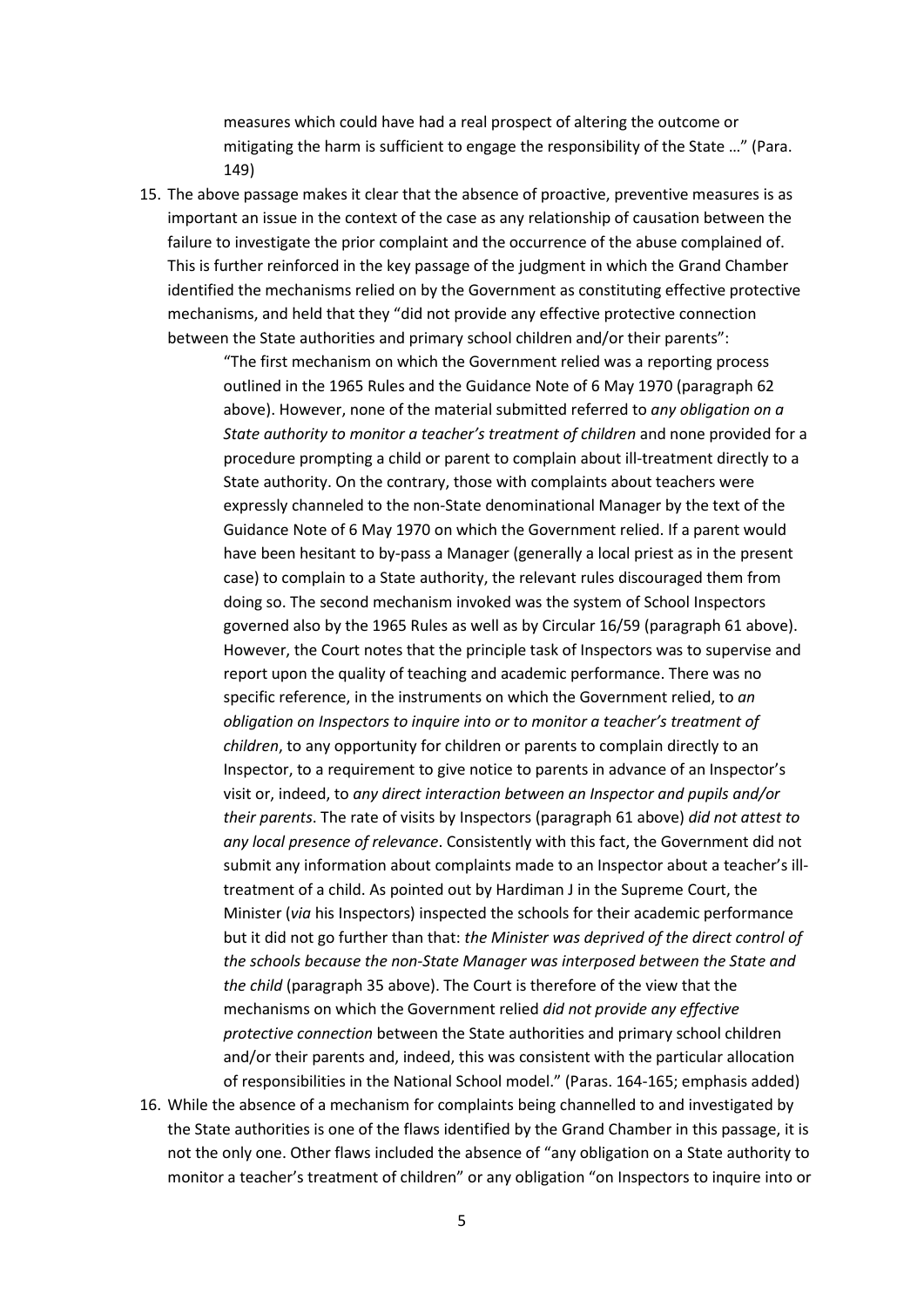measures which could have had a real prospect of altering the outcome or mitigating the harm is sufficient to engage the responsibility of the State …" (Para. 149)

15. The above passage makes it clear that the absence of proactive, preventive measures is as important an issue in the context of the case as any relationship of causation between the failure to investigate the prior complaint and the occurrence of the abuse complained of. This is further reinforced in the key passage of the judgment in which the Grand Chamber identified the mechanisms relied on by the Government as constituting effective protective mechanisms, and held that they "did not provide any effective protective connection between the State authorities and primary school children and/or their parents":

> "The first mechanism on which the Government relied was a reporting process outlined in the 1965 Rules and the Guidance Note of 6 May 1970 (paragraph 62 above). However, none of the material submitted referred to *any obligation on a State authority to monitor a teacher's treatment of children* and none provided for a procedure prompting a child or parent to complain about ill-treatment directly to a State authority. On the contrary, those with complaints about teachers were expressly channeled to the non-State denominational Manager by the text of the Guidance Note of 6 May 1970 on which the Government relied. If a parent would have been hesitant to by-pass a Manager (generally a local priest as in the present case) to complain to a State authority, the relevant rules discouraged them from doing so. The second mechanism invoked was the system of School Inspectors governed also by the 1965 Rules as well as by Circular 16/59 (paragraph 61 above). However, the Court notes that the principle task of Inspectors was to supervise and report upon the quality of teaching and academic performance. There was no specific reference, in the instruments on which the Government relied, to *an obligation on Inspectors to inquire into or to monitor a teacher's treatment of children*, to any opportunity for children or parents to complain directly to an Inspector, to a requirement to give notice to parents in advance of an Inspector's visit or, indeed, to *any direct interaction between an Inspector and pupils and/or their parents*. The rate of visits by Inspectors (paragraph 61 above) *did not attest to any local presence of relevance*. Consistently with this fact, the Government did not submit any information about complaints made to an Inspector about a teacher's illtreatment of a child. As pointed out by Hardiman J in the Supreme Court, the Minister (*via* his Inspectors) inspected the schools for their academic performance but it did not go further than that: *the Minister was deprived of the direct control of the schools because the non-State Manager was interposed between the State and the child* (paragraph 35 above). The Court is therefore of the view that the mechanisms on which the Government relied *did not provide any effective protective connection* between the State authorities and primary school children and/or their parents and, indeed, this was consistent with the particular allocation of responsibilities in the National School model." (Paras. 164-165; emphasis added)

16. While the absence of a mechanism for complaints being channelled to and investigated by the State authorities is one of the flaws identified by the Grand Chamber in this passage, it is not the only one. Other flaws included the absence of "any obligation on a State authority to monitor a teacher's treatment of children" or any obligation "on Inspectors to inquire into or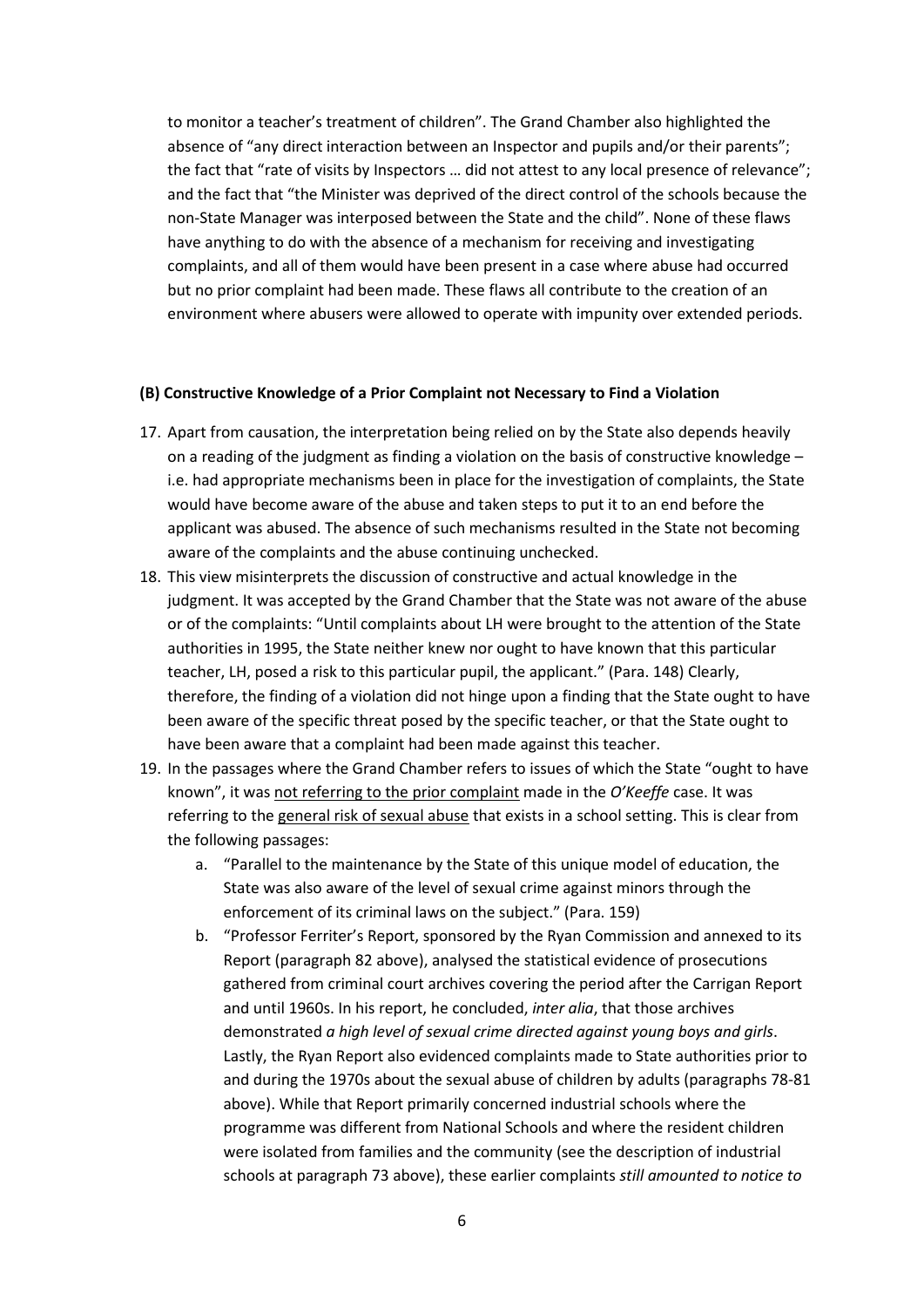to monitor a teacher's treatment of children". The Grand Chamber also highlighted the absence of "any direct interaction between an Inspector and pupils and/or their parents"; the fact that "rate of visits by Inspectors … did not attest to any local presence of relevance"; and the fact that "the Minister was deprived of the direct control of the schools because the non-State Manager was interposed between the State and the child". None of these flaws have anything to do with the absence of a mechanism for receiving and investigating complaints, and all of them would have been present in a case where abuse had occurred but no prior complaint had been made. These flaws all contribute to the creation of an environment where abusers were allowed to operate with impunity over extended periods.

#### **(B) Constructive Knowledge of a Prior Complaint not Necessary to Find a Violation**

- 17. Apart from causation, the interpretation being relied on by the State also depends heavily on a reading of the judgment as finding a violation on the basis of constructive knowledge – i.e. had appropriate mechanisms been in place for the investigation of complaints, the State would have become aware of the abuse and taken steps to put it to an end before the applicant was abused. The absence of such mechanisms resulted in the State not becoming aware of the complaints and the abuse continuing unchecked.
- 18. This view misinterprets the discussion of constructive and actual knowledge in the judgment. It was accepted by the Grand Chamber that the State was not aware of the abuse or of the complaints: "Until complaints about LH were brought to the attention of the State authorities in 1995, the State neither knew nor ought to have known that this particular teacher, LH, posed a risk to this particular pupil, the applicant." (Para. 148) Clearly, therefore, the finding of a violation did not hinge upon a finding that the State ought to have been aware of the specific threat posed by the specific teacher, or that the State ought to have been aware that a complaint had been made against this teacher.
- 19. In the passages where the Grand Chamber refers to issues of which the State "ought to have known", it was not referring to the prior complaint made in the *O'Keeffe* case. It was referring to the general risk of sexual abuse that exists in a school setting. This is clear from the following passages:
	- a. "Parallel to the maintenance by the State of this unique model of education, the State was also aware of the level of sexual crime against minors through the enforcement of its criminal laws on the subject." (Para. 159)
	- b. "Professor Ferriter's Report, sponsored by the Ryan Commission and annexed to its Report (paragraph 82 above), analysed the statistical evidence of prosecutions gathered from criminal court archives covering the period after the Carrigan Report and until 1960s. In his report, he concluded, *inter alia*, that those archives demonstrated *a high level of sexual crime directed against young boys and girls*. Lastly, the Ryan Report also evidenced complaints made to State authorities prior to and during the 1970s about the sexual abuse of children by adults (paragraphs 78-81 above). While that Report primarily concerned industrial schools where the programme was different from National Schools and where the resident children were isolated from families and the community (see the description of industrial schools at paragraph 73 above), these earlier complaints *still amounted to notice to*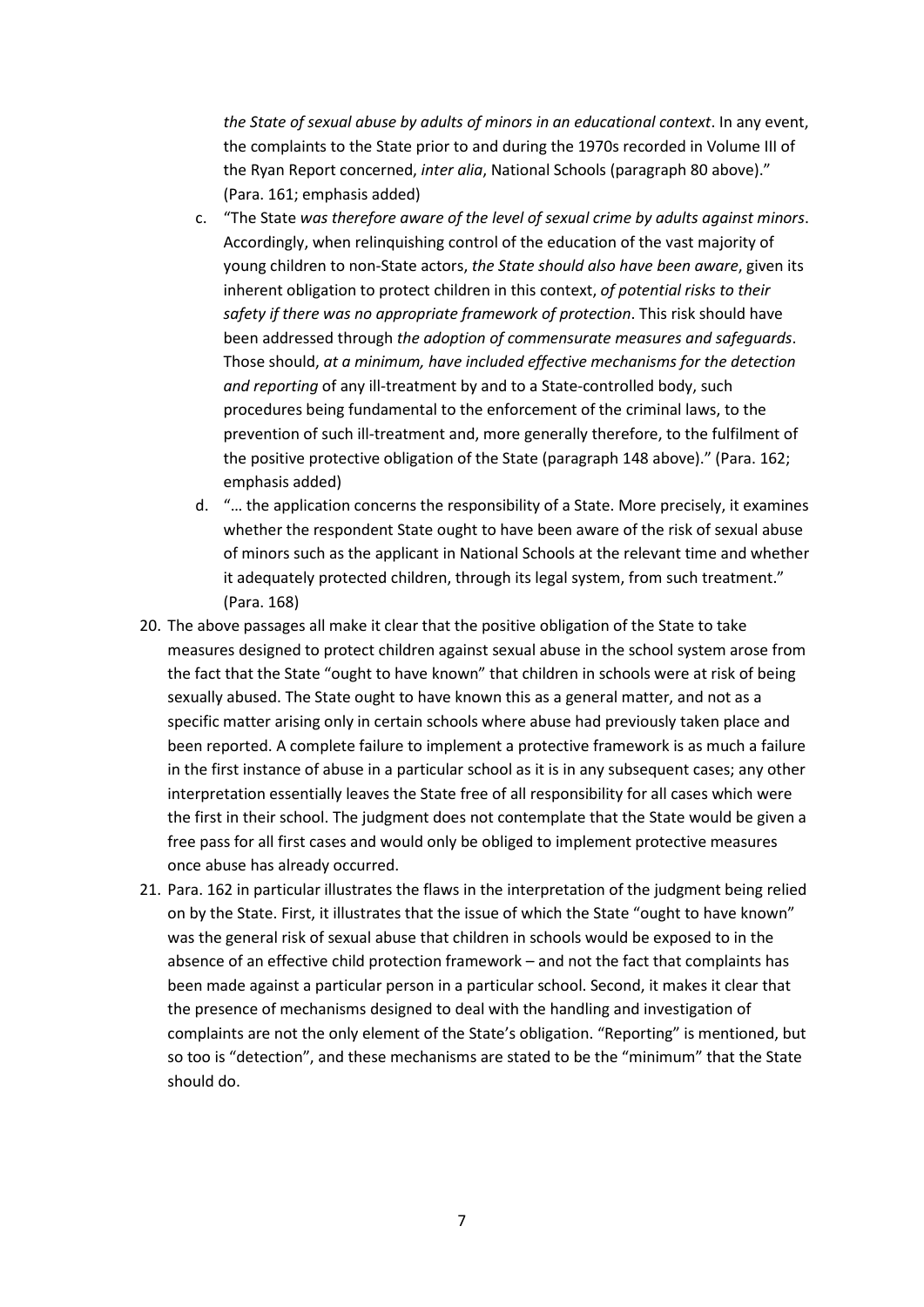*the State of sexual abuse by adults of minors in an educational context*. In any event, the complaints to the State prior to and during the 1970s recorded in Volume III of the Ryan Report concerned, *inter alia*, National Schools (paragraph 80 above)." (Para. 161; emphasis added)

- c. "The State *was therefore aware of the level of sexual crime by adults against minors*. Accordingly, when relinquishing control of the education of the vast majority of young children to non-State actors, *the State should also have been aware*, given its inherent obligation to protect children in this context, *of potential risks to their safety if there was no appropriate framework of protection*. This risk should have been addressed through *the adoption of commensurate measures and safeguards*. Those should, *at a minimum, have included effective mechanisms for the detection and reporting* of any ill-treatment by and to a State-controlled body, such procedures being fundamental to the enforcement of the criminal laws, to the prevention of such ill-treatment and, more generally therefore, to the fulfilment of the positive protective obligation of the State (paragraph 148 above)." (Para. 162; emphasis added)
- d. "… the application concerns the responsibility of a State. More precisely, it examines whether the respondent State ought to have been aware of the risk of sexual abuse of minors such as the applicant in National Schools at the relevant time and whether it adequately protected children, through its legal system, from such treatment." (Para. 168)
- 20. The above passages all make it clear that the positive obligation of the State to take measures designed to protect children against sexual abuse in the school system arose from the fact that the State "ought to have known" that children in schools were at risk of being sexually abused. The State ought to have known this as a general matter, and not as a specific matter arising only in certain schools where abuse had previously taken place and been reported. A complete failure to implement a protective framework is as much a failure in the first instance of abuse in a particular school as it is in any subsequent cases; any other interpretation essentially leaves the State free of all responsibility for all cases which were the first in their school. The judgment does not contemplate that the State would be given a free pass for all first cases and would only be obliged to implement protective measures once abuse has already occurred.
- 21. Para. 162 in particular illustrates the flaws in the interpretation of the judgment being relied on by the State. First, it illustrates that the issue of which the State "ought to have known" was the general risk of sexual abuse that children in schools would be exposed to in the absence of an effective child protection framework – and not the fact that complaints has been made against a particular person in a particular school. Second, it makes it clear that the presence of mechanisms designed to deal with the handling and investigation of complaints are not the only element of the State's obligation. "Reporting" is mentioned, but so too is "detection", and these mechanisms are stated to be the "minimum" that the State should do.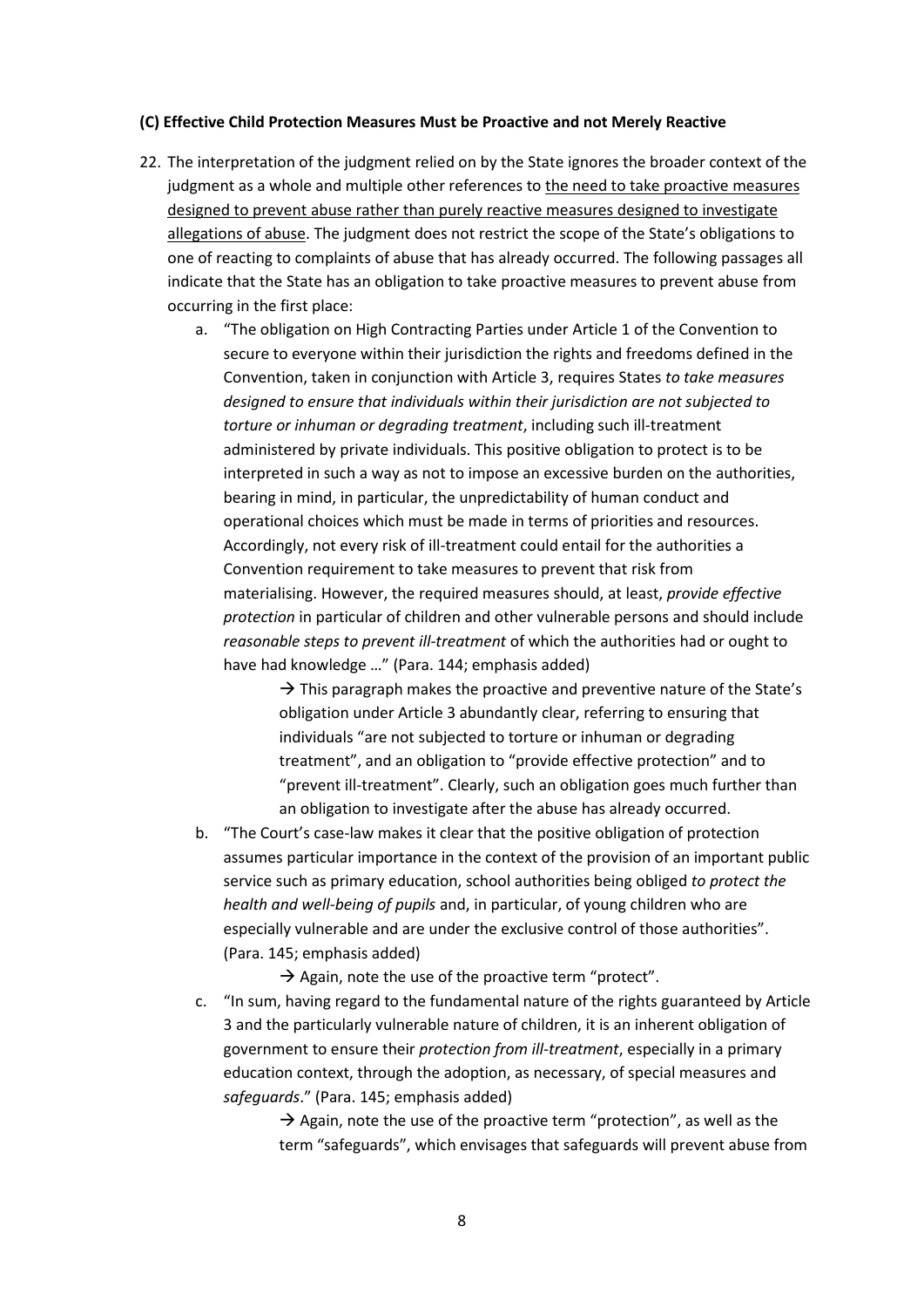#### **(C) Effective Child Protection Measures Must be Proactive and not Merely Reactive**

- 22. The interpretation of the judgment relied on by the State ignores the broader context of the judgment as a whole and multiple other references to the need to take proactive measures designed to prevent abuse rather than purely reactive measures designed to investigate allegations of abuse. The judgment does not restrict the scope of the State's obligations to one of reacting to complaints of abuse that has already occurred. The following passages all indicate that the State has an obligation to take proactive measures to prevent abuse from occurring in the first place:
	- a. "The obligation on High Contracting Parties under Article 1 of the Convention to secure to everyone within their jurisdiction the rights and freedoms defined in the Convention, taken in conjunction with Article 3, requires States *to take measures designed to ensure that individuals within their jurisdiction are not subjected to torture or inhuman or degrading treatment*, including such ill-treatment administered by private individuals. This positive obligation to protect is to be interpreted in such a way as not to impose an excessive burden on the authorities, bearing in mind, in particular, the unpredictability of human conduct and operational choices which must be made in terms of priorities and resources. Accordingly, not every risk of ill-treatment could entail for the authorities a Convention requirement to take measures to prevent that risk from materialising. However, the required measures should, at least, *provide effective protection* in particular of children and other vulnerable persons and should include *reasonable steps to prevent ill-treatment* of which the authorities had or ought to have had knowledge …" (Para. 144; emphasis added)

 $\rightarrow$  This paragraph makes the proactive and preventive nature of the State's obligation under Article 3 abundantly clear, referring to ensuring that individuals "are not subjected to torture or inhuman or degrading treatment", and an obligation to "provide effective protection" and to "prevent ill-treatment". Clearly, such an obligation goes much further than an obligation to investigate after the abuse has already occurred.

b. "The Court's case-law makes it clear that the positive obligation of protection assumes particular importance in the context of the provision of an important public service such as primary education, school authorities being obliged *to protect the health and well-being of pupils* and, in particular, of young children who are especially vulnerable and are under the exclusive control of those authorities". (Para. 145; emphasis added)

 $\rightarrow$  Again, note the use of the proactive term "protect".

c. "In sum, having regard to the fundamental nature of the rights guaranteed by Article 3 and the particularly vulnerable nature of children, it is an inherent obligation of government to ensure their *protection from ill-treatment*, especially in a primary education context, through the adoption, as necessary, of special measures and *safeguards*." (Para. 145; emphasis added)

> $\rightarrow$  Again, note the use of the proactive term "protection", as well as the term "safeguards", which envisages that safeguards will prevent abuse from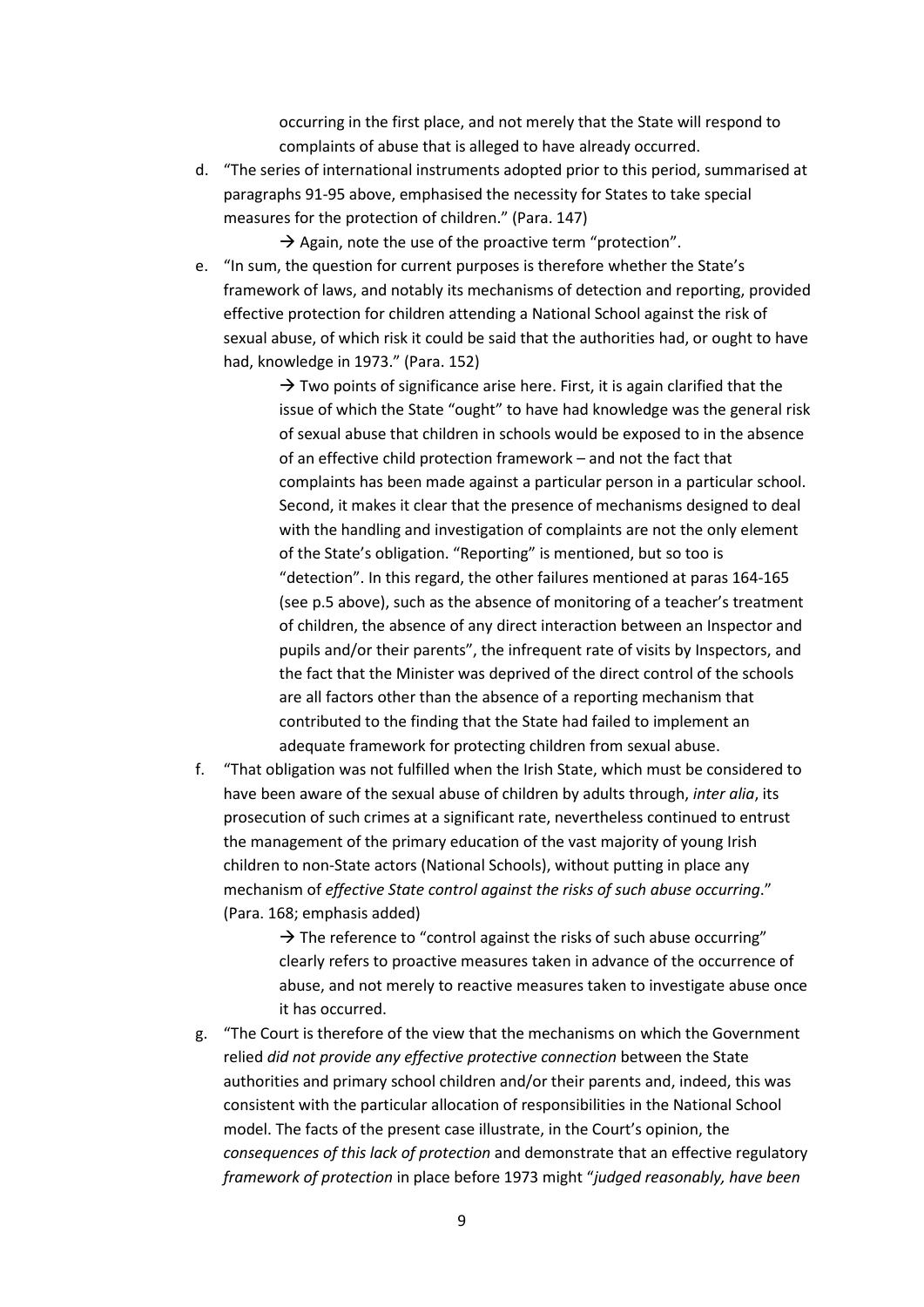occurring in the first place, and not merely that the State will respond to complaints of abuse that is alleged to have already occurred.

d. "The series of international instruments adopted prior to this period, summarised at paragraphs 91-95 above, emphasised the necessity for States to take special measures for the protection of children." (Para. 147)

 $\rightarrow$  Again, note the use of the proactive term "protection".

e. "In sum, the question for current purposes is therefore whether the State's framework of laws, and notably its mechanisms of detection and reporting, provided effective protection for children attending a National School against the risk of sexual abuse, of which risk it could be said that the authorities had, or ought to have had, knowledge in 1973." (Para. 152)

> $\rightarrow$  Two points of significance arise here. First, it is again clarified that the issue of which the State "ought" to have had knowledge was the general risk of sexual abuse that children in schools would be exposed to in the absence of an effective child protection framework – and not the fact that complaints has been made against a particular person in a particular school. Second, it makes it clear that the presence of mechanisms designed to deal with the handling and investigation of complaints are not the only element of the State's obligation. "Reporting" is mentioned, but so too is "detection". In this regard, the other failures mentioned at paras 164-165 (see p.5 above), such as the absence of monitoring of a teacher's treatment of children, the absence of any direct interaction between an Inspector and pupils and/or their parents", the infrequent rate of visits by Inspectors, and the fact that the Minister was deprived of the direct control of the schools are all factors other than the absence of a reporting mechanism that contributed to the finding that the State had failed to implement an adequate framework for protecting children from sexual abuse.

f. "That obligation was not fulfilled when the Irish State, which must be considered to have been aware of the sexual abuse of children by adults through, *inter alia*, its prosecution of such crimes at a significant rate, nevertheless continued to entrust the management of the primary education of the vast majority of young Irish children to non-State actors (National Schools), without putting in place any mechanism of *effective State control against the risks of such abuse occurring*." (Para. 168; emphasis added)

> $\rightarrow$  The reference to "control against the risks of such abuse occurring" clearly refers to proactive measures taken in advance of the occurrence of abuse, and not merely to reactive measures taken to investigate abuse once it has occurred.

g. "The Court is therefore of the view that the mechanisms on which the Government relied *did not provide any effective protective connection* between the State authorities and primary school children and/or their parents and, indeed, this was consistent with the particular allocation of responsibilities in the National School model. The facts of the present case illustrate, in the Court's opinion, the *consequences of this lack of protection* and demonstrate that an effective regulatory *framework of protection* in place before 1973 might "*judged reasonably, have been*